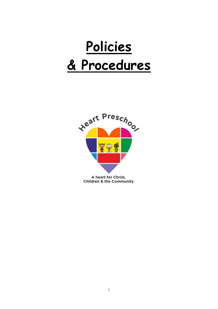# **Policies & Procedures**

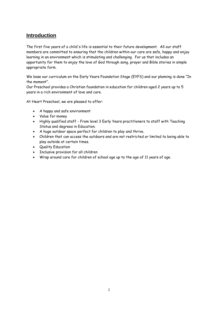# **Introduction**

The first five years of a child's life is essential to their future development. All our staff members are committed to ensuring that the children within our care are safe, happy and enjoy learning in an environment which is stimulating and challenging. For us that includes an opportunity for them to enjoy the love of God through song, prayer and Bible stories in simple appropriate form.

We base our curriculum on the Early Years Foundation Stage (EYFS) and our planning is done "In the moment".

Our Preschool provides a Christian foundation in education for children aged 2 years up to 5 years in a rich environment of love and care.

At Heart Preschool, we are pleased to offer:

- A happy and safe environment
- Value for money
- Highly qualified staff From level 3 Early Years practitioners to staff with Teaching Status and degrees in Education.
- A huge outdoor space perfect for children to play and thrive.
- Children that can access the outdoors and are not restricted or limited to being able to play outside at certain times.
- Quality Education
- Inclusive provision for all children
- Wrap around care for children of school age up to the age of 11 years of age.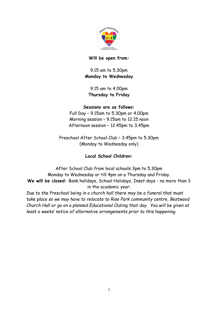

## **Will be open from:**

# 9.15 am to 5.30pm **Monday to Wednesday**

9.15 am to 4.00pm **Thursday to Friday**

## **Sessions are as follows:**

Full Day – 9.15am to 5.30pm or 4.00pm Morning session – 9.15am to 12.15 noon Afternoon session – 12.45pm to 3.45pm

Preschool After School Club – 3.45pm to 5.30pm (Monday to Wednesday only)

# **Local School Children:**

After School Club from local schools 3pm to 5.30pm Monday to Wednesday or till 4pm on a Thursday and Friday. **We will be closed:** Bank holidays, School Holidays, Inset days - no more than 3 in the academic year.

*Due to the Preschool being in a church hall there may be a funeral that must take place so we may have to relocate to Rise Park community centre, Bestwood Church Hall or go on a planned Educational Outing that day. You will be given at least a weeks' notice of alternative arrangements prior to this happening.*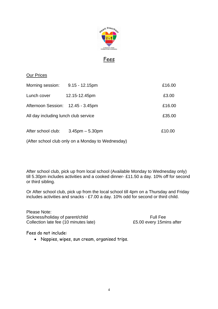

## Fees

#### Our Prices

| Morning session:                     | $9.15 - 12.15$ pm    | £16.00 |  |
|--------------------------------------|----------------------|--------|--|
| Lunch cover                          | 12.15-12.45pm        | £3.00  |  |
| Afternoon Session: 12.45 - 3.45pm    |                      | £16.00 |  |
| All day including lunch club service |                      | £35.00 |  |
| After school club:                   | $3.45$ pm $-5.30$ pm | £10.00 |  |

(After school club only on a Monday to Wednesday)

After school club, pick up from local school (Available Monday to Wednesday only) till 5.30pm includes activities and a cooked dinner- £11.50 a day. 10% off for second or third sibling.

Or After school club, pick up from the local school till 4pm on a Thursday and Friday includes activities and snacks - £7.00 a day. 10% odd for second or third child.

Please Note: Sickness/holiday of parent/child Full Fee Collection late fee (10 minutes late) £5.00 every 15mins after

Fees do not include:

• Nappies, wipes, sun cream, organised trips.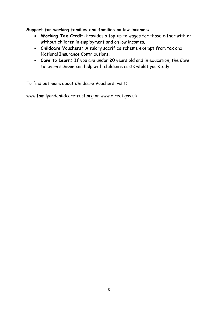# **Support for working families and families on low incomes:**

- **Working Tax Credit:** Provides a top-up to wages for those either with or without children in employment and on low incomes.
- **Childcare Vouchers:** A salary sacrifice scheme exempt from tax and National Insurance Contributions.
- **Care to Learn:** If you are under 20 years old and in education, the Care to Learn scheme can help with childcare costs whilst you study.

To find out more about Childcare Vouchers, visit:

www.familyandchildcaretrust.org or www.direct.gov.uk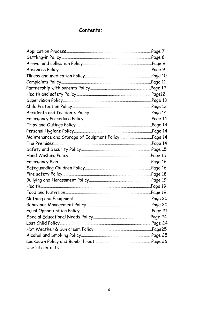# **Contents:**

|                                                     | Page 7. |
|-----------------------------------------------------|---------|
|                                                     |         |
|                                                     |         |
|                                                     |         |
|                                                     |         |
|                                                     |         |
|                                                     |         |
|                                                     |         |
|                                                     |         |
|                                                     |         |
|                                                     |         |
|                                                     |         |
|                                                     |         |
|                                                     |         |
| Maintenance and Storage of Equipment Policy Page 14 |         |
|                                                     |         |
|                                                     |         |
|                                                     |         |
|                                                     |         |
|                                                     |         |
|                                                     |         |
|                                                     |         |
|                                                     |         |
|                                                     |         |
|                                                     |         |
|                                                     |         |
|                                                     |         |
|                                                     |         |
|                                                     |         |
|                                                     |         |
|                                                     |         |
|                                                     |         |
| Useful contacts                                     |         |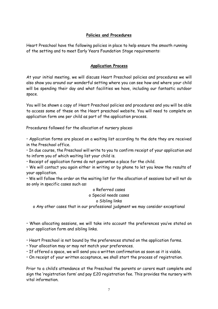#### **Policies and Procedures**

Heart Preschool have the following policies in place to help ensure the smooth running of the setting and to meet Early Years Foundation Stage requirements:

#### **Application Process**

At your initial meeting, we will discuss Heart Preschool policies and procedures we will also show you around our wonderful setting where you can see how and where your child will be spending their day and what facilities we have, including our fantastic outdoor space.

You will be shown a copy of Heart Preschool policies and procedures and you will be able to access some of these on the Heart preschool website. You will need to complete an application form one per child as part of the application process.

Procedures followed for the allocation of nursery places:

• Application forms are placed on a waiting list according to the date they are received in the Preschool office.

• In due course, the Preschool will write to you to confirm receipt of your application and to inform you of which waiting list your child is.

• Receipt of application forms do not guarantee a place for the child.

• We will contact you again either in writing or by phone to let you know the results of your application.

• We will follow the order on the waiting list for the allocation of sessions but will not do so only in specific cases such as:

o Referred cases

o Special needs cases

#### o Sibling links

o Any other cases that in our professional judgment we may consider exceptional

• When allocating sessions, we will take into account the preferences you've stated on your application form and sibling links.

• Heart Preschool is not bound by the preferences stated on the application forms.

- Your allocation may or may not match your preferences.
- If offered a space, we will send you a written confirmation as soon as it is viable.
- On receipt of your written acceptance, we shall start the process of registration.

Prior to a child's attendance at the Preschool the parents or carers must complete and sign the 'registration form' and pay £20 registration fee. This provides the nursery with vital information.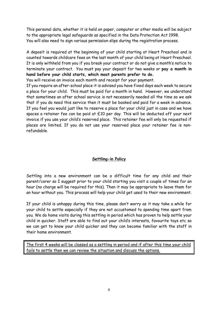This personal data, whether it is held on paper, computer or other media will be subject to the appropriate legal safeguards as specified in the Data Protection Act 1998. You will also need to sign various permission slips during the registration process.

A deposit is required at the beginning of your child starting at Heart Preschool and is counted towards childcare fees on the last month of your child being at Heart Preschool. It is only withheld from you if you break your contract or do not give a month's notice to terminate your contract. You must pay your deposit for two weeks or **pay a month in hand before your child starts, which most parents prefer to do.** 

You will receive an invoice each month and receipt for your payment.

If you require an after-school place it is advised you have fixed days each week to secure a place for your child. This must be paid for a month in hand. However, we understand that sometimes an after school service is not necessarily needed all the time so we ask that if you do need this service then it must be booked and paid for a week in advance. If you feel you would just like to reserve a place for your child just in case and we have spaces a retainer fee can be paid at £10 per day. This will be deducted off your next invoice if you use your child's reserved place. This retainer fee will only be requested if places are limited. If you do not use your reserved place your retainer fee is nonrefundable.

## **Settling-in Policy**

Settling into a new environment can be a difficult time for any child and their parent/carer so I suggest prior to your child starting you visit a couple of times for an hour (no charge will be required for this). Then it may be appropriate to leave them for an hour without you. This process will help your child get used to their new environment.

If your child is unhappy during this time, please don't worry as it may take a while for your child to settle especially if they are not accustomed to spending time apart from you. We do home visits during this settling in period which has proven to help settle your child in quicker. Staff are able to find out your child's interests, favourite toys etc so we can get to know your child quicker and they can become familiar with the staff in their home environment.

The first 4 weeks will be classed as a settling in period and if after this time your child fails to settle then we can review the situation and discuss the options.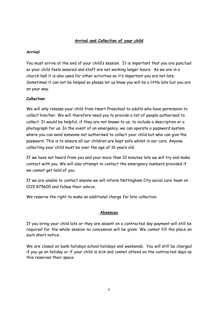#### **Arrival and Collection of your child**

#### **Arrival**

You must arrive at the end of your child's session. It is important that you are punctual so your child feels assured and staff are not working longer hours. As we are in a church hall it is also used for other activities so it's important you are not late. Sometimes it can not be helped so please let us know you will be a little late but you are on your way.

#### **Collection**

We will only release your child from Heart Preschool to adults who have permission to collect him/her. We will therefore need you to provide a list of people authorised to collect. It would be helpful, if they are not known to us, to include a description or a photograph for us. In the event of an emergency, we can operate a password system where you can send someone not authorised to collect your child but who can give the password. This is to ensure all our children are kept safe whilst in our care. Anyone collecting your child must be over the age of 16 years old.

If we have not heard from you and your more than 10 minutes late we will try and make contact with you. We will also attempt to contact the emergency numbers provided if we cannot get hold of you.

If we are unable to contact anyone we will inform Nottingham City social care team on 0115 875600 and follow their advice.

We reserve the right to make an additional charge for late collection.

#### **Absences**

If you bring your child late or they are absent on a contracted day payment will still be required for the whole session no concession will be given. We cannot fill the place on such short notice.

We are closed on bank holidays school holidays and weekends. You will still be charged if you go on holiday or if your child is sick and cannot attend on the contracted days as this reserves their space.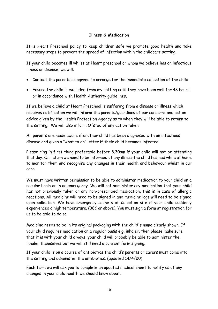#### **Illness & Medication**

It is Heart Preschool policy to keep children safe we promote good health and take necessary steps to prevent the spread of infection within the childcare setting.

If your child becomes ill whilst at Heart preschool or whom we believe has an infectious illness or disease, we will;

- Contact the parents as agreed to arrange for the immediate collection of the child
- Ensure the child is excluded from my setting until they have been well for 48 hours, or in accordance with Health Authority guidelines.

If we believe a child at Heart Preschool is suffering from a disease or illness which requires notification we will inform the parents/guardians of our concerns and act on advice given by the Health Protection Agency as to when they will be able to return to the setting. We will also inform Ofsted of any action taken.

All parents are made aware if another child has been diagnosed with an infectious disease and given a "what to do" letter if their child becomes infected.

Please ring in first thing preferable before 8.30am if your child will not be attending that day. On return we need to be informed of any illness the child has had while at home to monitor them and recognise any changes in their health and behaviour whilst in our care.

We must have written permission to be able to administer medication to your child on a regular basis or in an emergency. We will not administer any medication that your child has not previously taken or any non-prescribed medication, this is in case of allergic reactions. All medicine will need to be signed in and medicine logs will need to be signed upon collection. We have emergency sachets of Calpol on site if your child suddenly experienced a high temperature. (38C or above). You must sign a form at registration for us to be able to do so.

Medicine needs to be in its original packaging with the child's name clearly shown. If your child requires medication on a regular basis e.g. inhaler, then please make sure that it is with your child always, your child will probably be able to administer the inhaler themselves but we will still need a consent form signing.

If your child is on a course of antibiotics the child's parents or carers must come into the setting and administer the antibiotics. (updated 14/4/20)

Each term we will ask you to complete an updated medical sheet to notify us of any changes in your child health we should know about.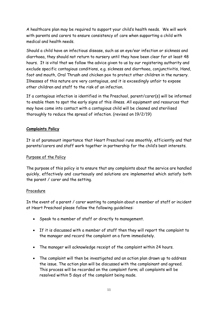A healthcare plan may be required to support your child's health needs. We will work with parents and carers to ensure consistency of care when supporting a child with medical and health needs.

Should a child have an infectious disease, such as an eye/ear infection or sickness and diarrhoea, they should not return to nursery until they have been clear for at least 48 hours. It is vital that we follow the advice given to us by our registering authority and exclude specific contagious conditions, e.g. sickness and diarrhoea, conjunctivitis, Hand, foot and mouth, Oral Thrush and chicken pox to protect other children in the nursery. Illnesses of this nature are very contagious, and it is exceedingly unfair to expose other children and staff to the risk of an infection.

If a contagious infection is identified in the Preschool, parent/carer(s) will be informed to enable them to spot the early signs of this illness. All equipment and resources that may have come into contact with a contagious child will be cleaned and sterilised thoroughly to reduce the spread of infection. (revised on 19/2/19)

#### **Complaints Policy**

It is of paramount importance that Heart Preschool runs smoothly, efficiently and that parents/carers and staff work together in partnership for the child's best interests.

#### Purpose of the Policy

The purpose of this policy is to ensure that any complaints about the service are handled quickly, effectively and courteously and solutions are implemented which satisfy both the parent / carer and the setting.

#### Procedure

In the event of a parent / carer wanting to complain about a member of staff or incident at Heart Preschool please follow the following guidelines:

- Speak to a member of staff or directly to management.
- If it is discussed with a member of staff then they will report the complaint to the manager and record the complaint on a form immediately.
- The manager will acknowledge receipt of the complaint within 24 hours.
- The complaint will then be investigated and an action plan drawn up to address the issue. The action plan will be discussed with the complainant and agreed. This process will be recorded on the complaint form; all complaints will be resolved within 5 days of the complaint being made.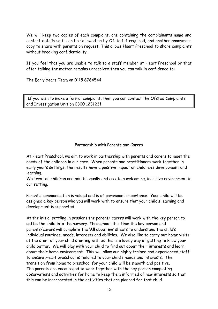We will keep two copies of each complaint, one containing the complainants name and contact details so it can be followed up by Ofsted if required, and another anonymous copy to share with parents on request. This allows Heart Preschool to share complaints without breaking confidentiality.

If you feel that you are unable to talk to a staff member at Heart Preschool or that after talking the matter remains unresolved then you can talk in confidence to:

The Early Years Team on 0115 8764544

If you wish to make a formal complaint, then you can contact the Ofsted Complaints and Investigation Unit on 0300 1231231

#### Partnership with Parents and Carers

At Heart Preschool, we aim to work in partnership with parents and carers to meet the needs of the children in our care. When parents and practitioners work together in early year's settings, the results have a positive impact on children's development and learning.

We treat all children and adults equally and create a welcoming, inclusive environment in our setting.

Parent's communication is valued and is of paramount importance. Your child will be assigned a key person who you will work with to ensure that your child's learning and development is supported.

At the initial settling in sessions the parent/ carers will work with the key person to settle the child into the nursery. Throughout this time the key person and parents/carers will complete the 'All about me' sheets to understand the child's individual routines, needs, interests and abilities. We also like to carry out home visits at the start of your child starting with us this is a lovely way of getting to know your child better. We will play with your child to find out about their interests and learn about their home environment. This will allow our highly trained and experienced staff to ensure Heart preschool is tailored to your child's needs and interests. The transition from home to preschool for your child will be smooth and positive. The parents are encouraged to work together with the key person completing observations and activities for home to keep them informed of new interests so that this can be incorporated in the activities that are planned for that child.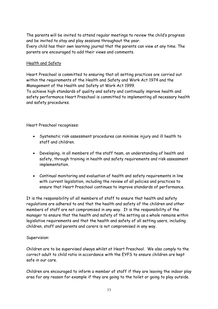The parents will be invited to attend regular meetings to review the child's progress and be invited to stay and play sessions throughout the year.

Every child has their own learning journal that the parents can view at any time. The parents are encouraged to add their views and comments.

#### Health and Safety

Heart Preschool is committed to ensuring that all setting practices are carried out within the requirements of the Health and Safety and Work Act 1974 and the Management of the Health and Safety at Work Act 1999.

To achieve high standards of quality and safety and continually improve health and safety performance Heart Preschool is committed to implementing all necessary health and safety procedures.

Heart Preschool recognises:

- Systematic risk assessment procedures can minimise injury and ill health to staff and children.
- Developing, in all members of the staff team, an understanding of health and safety, through training in health and safety requirements and risk assessment implementation.
- Continual monitoring and evaluation of health and safety requirements in line with current legislation, including the review of all policies and practices to ensure that Heart Preschool continues to improve standards of performance.

It is the responsibility of all members of staff to ensure that health and safety regulations are adhered to and that the health and safety of the children and other members of staff are not compromised in any way. It is the responsibility of the manager to ensure that the health and safety of the setting as a whole remains within legislative requirements and that the health and safety of all setting users, including children, staff and parents and carers is not compromised in any way.

#### Supervision:

Children are to be supervised always whilst at Heart Preschool. We also comply to the correct adult to child ratio in accordance with the EYFS to ensure children are kept safe in our care.

Children are encouraged to inform a member of staff if they are leaving the indoor play area for any reason for example if they are going to the toilet or going to play outside.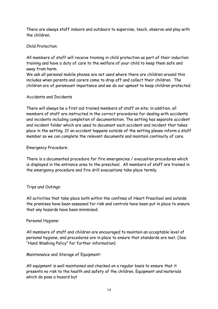There are always staff indoors and outdoors to supervise, teach, observe and play with the children.

#### Child Protection:

All members of staff will receive training in child protection as part of their induction training and have a duty of care to the welfare of your child to keep them safe and away from harm.

We ask all personal mobile phones are not used where there are children around this includes when parents and carers come to drop off and collect their children. The children are of paramount importance and we do our upmost to keep children protected.

#### Accidents and Incidents

There will always be a first aid trained members of staff on site; in addition, all members of staff are instructed in the correct procedures for dealing with accidents and incidents including completion of documentation. The setting has separate accident and incident folder which are used to document each accident and incident that takes place in the setting. If an accident happens outside of the setting please inform a staff member so we can complete the relevant documents and maintain continuity of care.

#### Emergency Procedure:

There is a documented procedure for fire emergencies / evacuation procedures which is displayed in the entrance area to the preschool. All members of staff are trained in the emergency procedure and fire drill evacuations take place termly.

#### Trips and Outings:

All activities that take place both within the confines of Heart Preschool and outside the premises have been assessed for risk and controls have been put in place to ensure that any hazards have been minimised.

#### Personal Hygiene:

All members of staff and children are encouraged to maintain an acceptable level of personal hygiene, and procedures are in place to ensure that standards are met. (See "Hand Washing Policy" for further information)

Maintenance and Storage of Equipment:

All equipment is well maintained and checked on a regular basis to ensure that it presents no risk to the health and safety of the children. Equipment and materials which do pose a hazard but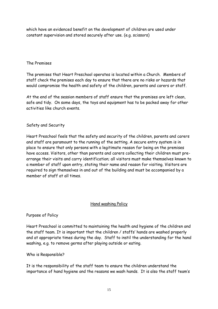which have an evidenced benefit on the development of children are used under constant supervision and stored securely after use. (e.g. scissors)

#### The Premises

The premises that Heart Preschool operates is located within a Church. Members of staff check the premises each day to ensure that there are no risks or hazards that would compromise the health and safety of the children, parents and carers or staff.

At the end of the session members of staff ensure that the premises are left clean, safe and tidy. On some days, the toys and equipment has to be packed away for other activities like church events.

#### Safety and Security

Heart Preschool feels that the safety and security of the children, parents and carers and staff are paramount to the running of the setting. A secure entry system is in place to ensure that only persons with a legitimate reason for being on the premises have access. Visitors, other than parents and carers collecting their children must prearrange their visits and carry identification; all visitors must make themselves known to a member of staff upon entry, stating their name and reason for visiting. Visitors are required to sign themselves in and out of the building and must be accompanied by a member of staff at all times.

#### Hand washing Policy

Purpose of Policy

Heart Preschool is committed to maintaining the health and hygiene of the children and the staff team. It is important that the children / staffs' hands are washed properly and at appropriate times during the day. Staff to instil the understanding for the hand washing, e.g. to remove germs after playing outside or eating.

#### Who is Responsible?

It is the responsibility of the staff team to ensure the children understand the importance of hand hygiene and the reasons we wash hands. It is also the staff team's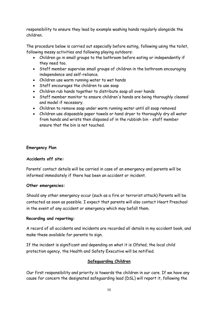responsibility to ensure they lead by example washing hands regularly alongside the children.

The procedure below is carried out especially before eating, following using the toilet, following messy activities and following playing outdoors:

- Children go in small groups to the bathroom before eating or independently if they need too.
- Staff member supervise small groups of children in the bathroom encouraging independence and self-reliance.
- Children use warm running water to wet hands
- Staff encourages the children to use soap
- Children rub hands together to distribute soap all over hands
- Staff member monitor to ensure children's hands are being thoroughly cleaned and model if necessary.
- Children to remove soap under warm running water until all soap removed
- Children use disposable paper towels or hand dryer to thoroughly dry all water from hands and wrists then disposed of in the rubbish bin - staff member ensure that the bin is not touched.

#### **Emergency Plan**

#### **Accidents off site:**

Parents' contact details will be carried in case of an emergency and parents will be informed immediately if there has been an accident or incident.

#### **Other emergencies:**

Should any other emergency occur (such as a fire or terrorist attack) Parents will be contacted as soon as possible. I expect that parents will also contact Heart Preschool in the event of any accident or emergency which may befall them.

#### **Recording and reporting:**

A record of all accidents and incidents are recorded all details in my accident book, and make these available for parents to sign.

If the incident is significant and depending on what it is Ofsted, the local child protection agency, the Health and Safety Executive will be notified.

#### **Safeguarding Children**

Our first responsibility and priority is towards the children in our care. If we have any cause for concern the designated safeguarding lead (DSL) will report it, following the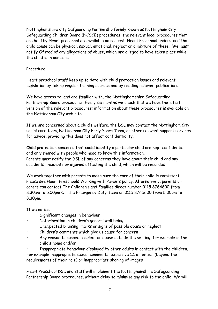Nottinghamshire City Safguarding Partnershp formly known as Nottingham City Safeguarding Children Board (NCSCB) procedures, the relevant local procedures that are held by Heart preschool are available on request. Heart Preschool understand that child abuse can be physical, sexual, emotional, neglect or a mixture of these. We must notify Ofsted of any allegations of abuse, which are alleged to have taken place while the child is in our care.

#### Procedure

Heart preschool staff keep up to date with child protection issues and relevant legislation by taking regular training courses and by reading relevant publications.

We have access to, and are familiar with, the Nottinghamshire Safeguarding Partnership Board procedures. Every six months we check that we have the latest version of the relevant procedures; information about these procedures is available on the Nottingham City web site.

If we are concerned about a child's welfare, the DSL may contact the Nottingham City social care team, Nottingham City Early Years Team, or other relevant support services for advice, providing this does not affect confidentiality.

Child protection concerns that could identify a particular child are kept confidential and only shared with people who need to know this information. Parents must notify the DSL of any concerns they have about their child and any accidents, incidents or injuries affecting the child, which will be recorded.

We work together with parents to make sure the care of their child is consistent. Please see Heart Preschools Working with Parents policy. Alternatively, parents or carers can contact The Children's and Families direct number 0115 8764800 from 8.30am to 5.00pm Or The Emergency Duty Team on 0115 8765600 from 5.00pm to 8.30pm.

If we notice:

- Significant changes in behaviour
- Deterioration in children's general well being
- Unexpected bruising, marks or signs of possible abuse or neglect
- Children's comments which give us cause for concern
- Any reason to suspect neglect or abuse outside the setting, for example in the child's home and/or
- Inappropriate behaviour displayed by other adults in contact with the children.

For example inappropriate sexual comments; excessive 1:1 attention (beyond the requirements of their role) or inappropriate sharing of images

Heart Preschool DSL and staff will implement the Nottinghamshire Safeguarding Partnership Board procedures, without delay to minimise any risk to the child. We will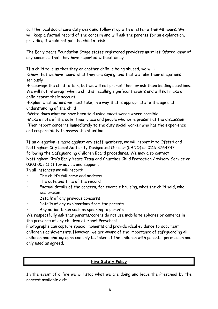call the local social care duty desk and follow it up with a letter within 48 hours. We will keep a factual record of the concern and will ask the parents for an explanation, providing it would not put the child at risk.

The Early Years Foundation Stage states registered providers must let Ofsted know of any concerns that they have reported without delay.

If a child tells us that they or another child is being abused, we will:

•Show that we have heard what they are saying, and that we take their allegations seriously

•Encourage the child to talk, but we will not prompt them or ask them leading questions. We will not interrupt when a child is recalling significant events and will not make a child repeat their account

•Explain what actions we must take, in a way that is appropriate to the age and understanding of the child

•Write down what we have been told using exact words where possible

•Make a note of the date, time, place and people who were present at the discussion •Then report concerns immediately to the duty social worker who has the experience and responsibility to assess the situation.

If an allegation is made against any staff members, we will report it to Ofsted and Nottingham City Local Authority Designated Officer (LADO) on 0115 8764747 following the Safeguarding Children Board procedures. We may also contact Nottingham City's Early Years Team and Churches Child Protection Advisory Service on 0303 003 11 11 for advice and support.

In all instances we will record:

- The child's full name and address
- The date and time of the record
- Factual details of the concern, for example bruising, what the child said, who was present
- Details of any previous concerns
- Details of any explanations from the parents
- Any action taken such as speaking to parents.

We respectfully ask that parents/carers do not use mobile telephones or cameras in the presence of any children at Heart Preschool.

Photographs can capture special moments and provide ideal evidence to document children's achievements. However, we are aware of the importance of safeguarding all children and photographs can only be taken of the children with parental permission and only used as agreed.

# **Fire Safety Policy**

In the event of a fire we will stop what we are doing and leave the Preschool by the nearest available exit.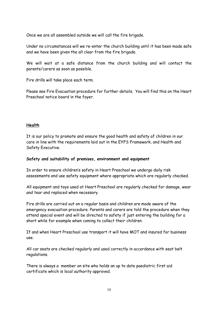Once we are all assembled outside we will call the fire brigade.

Under no circumstances will we re-enter the church building until it has been made safe and we have been given the all clear from the fire brigade.

We will wait at a safe distance from the church building and will contact the parents/carers as soon as possible.

Fire drills will take place each term.

Please see Fire Evacuation procedure for further details. You will find this on the Heart Preschool notice board in the foyer.

#### **Health**

It is our policy to promote and ensure the good health and safety of children in our care in line with the requirements laid out in the EYFS Framework, and Health and Safety Executive.

#### **Safety and suitability of premises, environment and equipment**

In order to ensure children's safety in Heart Preschool we undergo daily risk assessments and use safety equipment where appropriate which are regularly checked.

All equipment and toys used at Heart Preschool are regularly checked for damage, wear and tear and replaced when necessary.

Fire drills are carried out on a regular basis and children are made aware of the emergency evacuation procedure. Parents and carers are told the procedure when they attend special event and will be directed to safety if just entering the building for a short while for example when coming to collect their children.

If and when Heart Preschool use transport it will have MOT and insured for business use.

All car seats are checked regularly and used correctly in accordance with seat belt regulations.

There is always a member on site who holds an up to date paediatric first aid certificate which is local authority approved.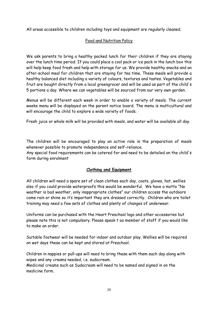All areas accessible to children including toys and equipment are regularly cleaned.

#### Food and Nutrition Policy

We ask parents to bring a healthy packed lunch for their children if they are staying over the lunch time period. If you could place a cool pack or ice pack in the lunch box this will help keep food fresh and help with storage for us. We provide healthy snacks and an after-school meal for children that are staying for tea time. These meals will provide a healthy balanced diet including a variety of colours, textures and tastes. Vegetables and fruit are bought directly from a local greengrocer and will be used as part of the child's 5 portions a day. Where we can vegetables will be sourced from our very own garden.

Menus will be different each week in order to enable a variety of meals. The current weeks menu will be displayed on the parent notice board. The menu is multicultural and will encourage the child to explore a wide variety of foods.

Fresh juice or whole milk will be provided with meals, and water will be available all day.

The children will be encouraged to play an active role in the preparation of meals whenever possible to promote independence and self-reliance.

Any special food requirements can be catered for and need to be detailed on the child's form during enrolment

## **Clothing and Equipment**

All children will need a spare set of clean clothes each day, coats, gloves, hat, wellies also if you could provide waterproofs this would be wonderful. We have a motto "No weather is bad weather, only inappropriate clothes" our children access the outdoors come rain or shine so it's important they are dressed correctly. Children who are toilet training may need a few sets of clothes and plenty of changes of underwear.

Uniforms can be purchased with the Heart Preschool logo and other accessories but please note this is not compulsory. Please speak t oa member of staff if you would like to make an order.

Suitable footwear will be needed for indoor and outdoor play. Wellies will be required on wet days these can be kept and stored at Preschool.

Children in nappies or pull-ups will need to bring these with them each day along with wipes and any creams needed, i.e. sudocream.

Medicinal creams such as Sudocream will need to be named and signed in on the medicine form.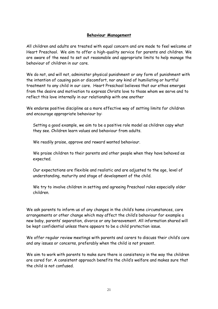#### **Behaviour Management**

All children and adults are treated with equal concern and are made to feel welcome at Heart Preschool. We aim to offer a high-quality service for parents and children. We are aware of the need to set out reasonable and appropriate limits to help manage the behaviour of children in our care.

We do not, and will not, administer physical punishment or any form of punishment with the intention of causing pain or discomfort, nor any kind of humiliating or hurtful treatment to any child in our care. Heart Preschool believes that our ethos emerges from the desire and motivation to express Christs love to those whom we serve and to reflect this love internally in our relationship with one another

We endorse positive discipline as a more effective way of setting limits for children and encourage appropriate behaviour by:

Setting a good example, we aim to be a positive role model as children copy what they see. Children learn values and behaviour from adults.

We readily praise, approve and reward wanted behaviour.

We praise children to their parents and other people when they have behaved as expected.

Our expectations are flexible and realistic and are adjusted to the age, level of understanding, maturity and stage of development of the child.

We try to involve children in setting and agreeing Preschool rules especially older children.

We ask parents to inform us of any changes in the child's home circumstances, care arrangements or other change which may affect the child's behaviour for example a new baby, parents' separation, divorce or any bereavement. All information shared will be kept confidential unless there appears to be a child protection issue.

We offer regular review meetings with parents and carers to discuss their child's care and any issues or concerns, preferably when the child is not present.

We aim to work with parents to make sure there is consistency in the way the children are cared for. A consistent approach benefits the child's welfare and makes sure that the child is not confused.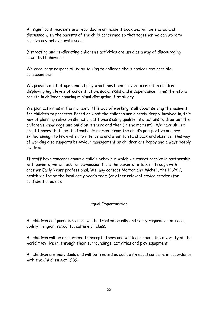All significant incidents are recorded in an incident book and will be shared and discussed with the parents of the child concerned so that together we can work to resolve any behavioural issues.

Distracting and re-directing children's activities are used as a way of discouraging unwanted behaviour.

We encourage responsibility by talking to children about choices and possible consequences.

We provide a lot of open ended play which has been proven to result in children displaying high levels of concentration, social skills and independence. This therefore results in children showing minimal disruption if at all any.

We plan activities in the moment. This way of working is all about seizing the moment for children to progress. Based on what the children are already deeply involved in, this way of planning relies on skilled practitioners using quality interactions to draw out the children's knowledge and build on it there and then (in the moment). We have skilled practitioners that see the teachable moment from the child's perspective and are skilled enough to know when to intervene and when to stand back and observe. This way of working also supports behaviour management as children are happy and always deeply involved.

If staff have concerns about a child's behaviour which we cannot resolve in partnership with parents, we will ask for permission from the parents to talk it through with another Early Years professional. We may contact Morton and Michel , the NSPCC, health visitor or the local early year's team (or other relevant advice service) for confidential advice.

#### Equal Opportunities

All children and parents/carers will be treated equally and fairly regardless of race, ability, religion, sexuality, culture or class.

All children will be encouraged to accept others and will learn about the diversity of the world they live in, through their surroundings, activities and play equipment.

All children are individuals and will be treated as such with equal concern, in accordance with the Children Act 1989.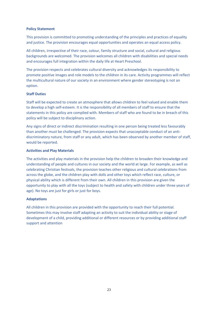#### **Policy Statement**

This provision is committed to promoting understanding of the principles and practices of equality and justice. The provision encourages equal opportunities and operates an equal access policy.

All children, irrespective of their race, colour, family structure and social, cultural and religious backgrounds are welcomed. The provision welcomes all children with disabilities and special needs and encourages full integration within the daily life at Heart Preschool.

The provision respects and celebrates cultural diversity and acknowledges its responsibility to promote positive images and role models to the children in its care. Activity programmes will reflect the multicultural nature of our society in an environment where gender stereotyping is not an option.

#### **Staff Duties**

Staff will be expected to create an atmosphere that allows children to feel valued and enable them to develop a high self-esteem. It is the responsibility of all members of staff to ensure that the statements in this policy are complied with. Members of staff who are found to be in breach of this policy will be subject to disciplinary action.

Any signs of direct or indirect discrimination resulting in one person being treated less favourably than another must be challenged. The provision expects that unacceptable conduct of an antidiscriminatory nature, from staff or any adult, which has been observed by another member of staff, would be reported.

#### **Activities and Play Materials**

The activities and play materials in the provision help the children to broaden their knowledge and understanding of people and cultures in our society and the world at large. For example, as well as celebrating Christian festivals, the provision teaches other religious and cultural celebrations from across the globe, and the children play with dolls and other toys which reflect race, culture, or physical ability which is different from their own. All children in this provision are given the opportunity to play with all the toys (subject to health and safety with children under three years of age). No toys are just for girls or just for boys.

#### **Adaptations**

All children in this provision are provided with the opportunity to reach their full potential. Sometimes this may involve staff adapting an activity to suit the individual ability or stage of development of a child, providing additional or different resources or by providing additional staff support and attention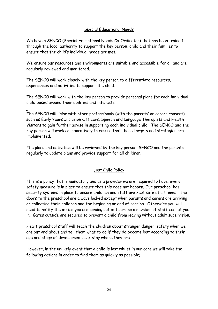#### Special Educational Needs

We have a SENCO (Special Educational Needs Co-Ordinator) that has been trained through the local authority to support the key person, child and their families to ensure that the child's individual needs are met.

We ensure our resources and environments are suitable and accessible for all and are regularly reviewed and monitored.

The SENCO will work closely with the key person to differentiate resources, experiences and activities to support the child.

The SENCO will work with the key person to provide personal plans for each individual child based around their abilities and interests.

The SENCO will liaise with other professionals (with the parents' or carers consent) such as Early Years Inclusion Officers, Speech and Language Therapists and Health Visitors to gain further advise in supporting each individual child. The SENCO and the key person will work collaboratively to ensure that these targets and strategies are implemented.

The plans and activities will be reviewed by the key person, SENCO and the parents regularly to update plans and provide support for all children.

#### Lost Child Policy

This is a policy that is mandatory and as a provider we are required to have; every safety measure is in place to ensure that this does not happen. Our preschool has security systems in place to ensure children and staff are kept safe at all times. The doors to the preschool are always locked except when parents and carers are arriving or collecting their children and the beginning or end of session. Otherwise you will need to notify the office you are coming out of hours so a member of staff can let you in. Gates outside are secured to prevent a child from leaving without adult supervision.

Heart preschool staff will teach the children about stranger danger, safety when we are out and about and tell them what to do if they do become lost according to their age and stage of development; e.g. stay where they are.

However, in the unlikely event that a child is lost whilst in our care we will take the following actions in order to find them as quickly as possible;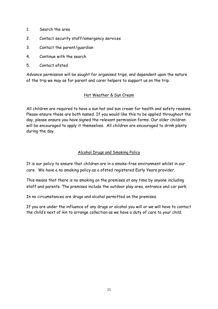- 1. Search the area
- 2. Contact security staff/emergency services
- 3. Contact the parent/guardian
- 4. Continue with the search
- 5. Contact ofsted

Advance permission will be sought for organised trips, and dependent upon the nature of the trip we may as for parent and carer helpers to support us on the trip.

#### Hot Weather & Sun Cream

All children are required to have a sun hat and sun cream for health and safety reasons. Please ensure these are both named. If you would like this to be applied throughout the day, please ensure you have signed the relevant permission forms. Our older children will be encouraged to apply it themselves. All children are encouraged to drink plenty during the day.

#### Alcohol Drugs and Smoking Policy

It is our policy to ensure that children are in a smoke-free environment whilst in our care. We have a no smoking policy as a ofsted registered Early Years provider.

This means that there is no smoking on the premises at any time by anyone including staff and parents. The premises include the outdoor play area, entrance and car park.

In no circumstances are drugs and alcohol permitted on the premises.

If you are under the influence of any drugs or alcohol you will or we will have to contact the child's next of kin to arrange collection as we have a duty of care to your child.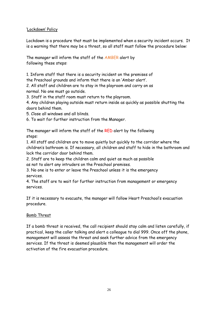#### 'Lockdown' Policy

Lockdown is a procedure that must be implemented when a security incident occurs. It is a warning that there may be a threat, so all staff must follow the procedure below:

The manager will inform the staff of the AMBER alert by following these steps:

1. Inform staff that there is a security incident on the premises of the Preschool grounds and inform that there is an 'Amber alert'.

2. All staff and children are to stay in the playroom and carry on as normal. No one must go outside.

3. Staff in the staff room must return to the playroom.

4. Any children playing outside must return inside as quickly as possible shutting the doors behind them.

5. Close all windows and all blinds.

6. To wait for further instruction from the Manager.

The manager will inform the staff of the RED alert by the following steps:

1. All staff and children are to move quietly but quickly to the corridor where the children's bathroom is. If necessary, all children and staff to hide in the bathroom and lock the corridor door behind them.

2. Staff are to keep the children calm and quiet as much as possible as not to alert any intruders on the Preschool premises.

3. No one is to enter or leave the Preschool unless it is the emergency services.

4. The staff are to wait for further instruction from management or emergency services.

If it is necessary to evacuate, the manager will follow Heart Preschool's evacuation procedure.

#### Bomb Threat

If a bomb threat is received, the call recipient should stay calm and listen carefully, if practical, keep the caller talking and alert a colleague to dial 999. Once off the phone, management will assess the threat and seek further advice from the emergency services. If the threat is deemed plausible then the management will order the activation of the fire evacuation procedure.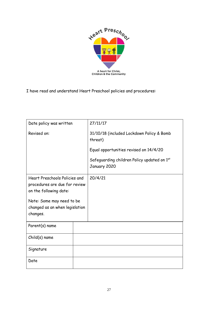

I have read and understand Heart Preschool policies and procedures:

| Date policy was written                                                                  | 27/11/17                                                    |
|------------------------------------------------------------------------------------------|-------------------------------------------------------------|
| Revised on:                                                                              | 31/10/18 (included Lockdown Policy & Bomb<br>threat)        |
|                                                                                          | Equal opportunities revised on 14/4/20                      |
|                                                                                          | Safeguarding children Policy updated on 1st<br>January 2020 |
| Heart Preschools Policies and<br>procedures are due for review<br>on the following date: | 20/4/21                                                     |
| Note: Some may need to be                                                                |                                                             |
| changed as an when legislation<br>changes.                                               |                                                             |
| Parent(s) name                                                                           |                                                             |
| Child(s) name                                                                            |                                                             |
| Signature                                                                                |                                                             |
| Date                                                                                     |                                                             |